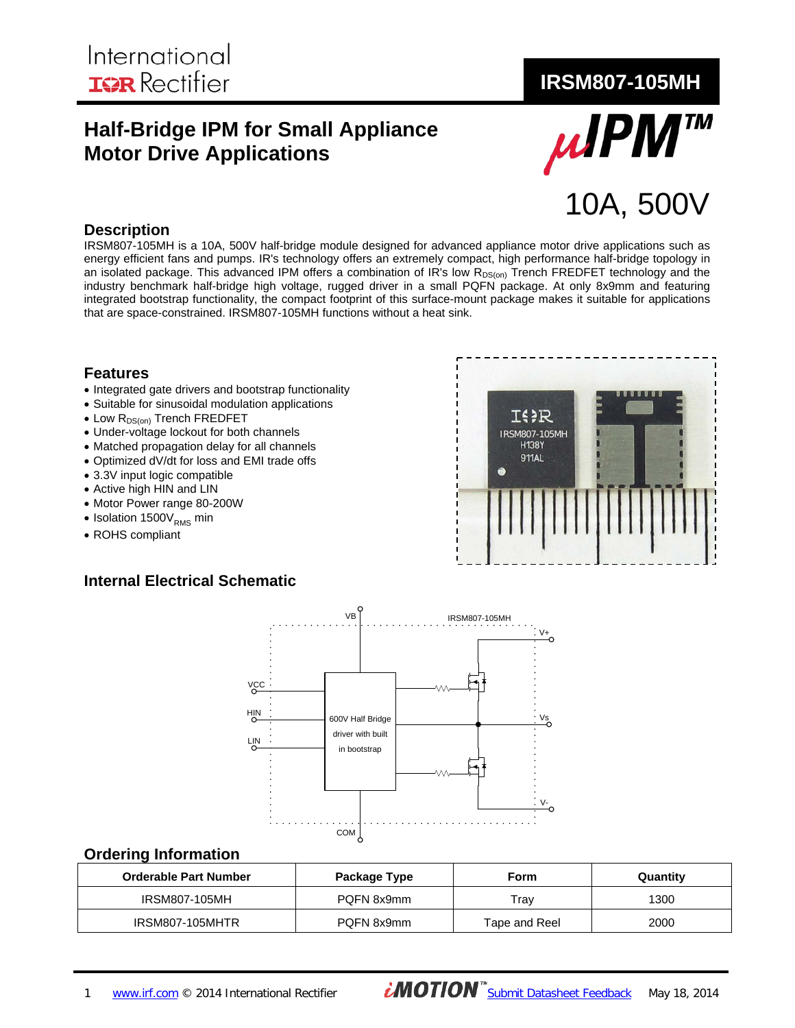# **Half-Bridge IPM for Small Appliance Motor Drive Applications**



#### **Description**

IRSM807-105MH is a 10A, 500V half-bridge module designed for advanced appliance motor drive applications such as energy efficient fans and pumps. IR's technology offers an extremely compact, high performance half-bridge topology in an isolated package. This advanced IPM offers a combination of IR's low  $R_{DS(on)}$  Trench FREDFET technology and the industry benchmark half-bridge high voltage, rugged driver in a small PQFN package. At only 8x9mm and featuring integrated bootstrap functionality, the compact footprint of this surface-mount package makes it suitable for applications that are space-constrained. IRSM807-105MH functions without a heat sink.

#### **Features**

- Integrated gate drivers and bootstrap functionality
- Suitable for sinusoidal modulation applications
- Low R<sub>DS(on)</sub> Trench FREDFET
- Under-voltage lockout for both channels
- Matched propagation delay for all channels
- Optimized dV/dt for loss and EMI trade offs
- 3.3V input logic compatible
- Active high HIN and LIN
- Motor Power range 80-200W
- Isolation  $1500V_{RMS}$  min
- ROHS compliant

#### **Internal Electrical Schematic**





#### **Ordering Information**

| <b>Orderable Part Number</b> | Package Type | Form          | Quantity |
|------------------------------|--------------|---------------|----------|
| IRSM807-105MH                | POFN 8x9mm   | Trav          | 1300     |
| IRSM807-105MHTR              | POFN 8x9mm   | Tape and Reel | 2000     |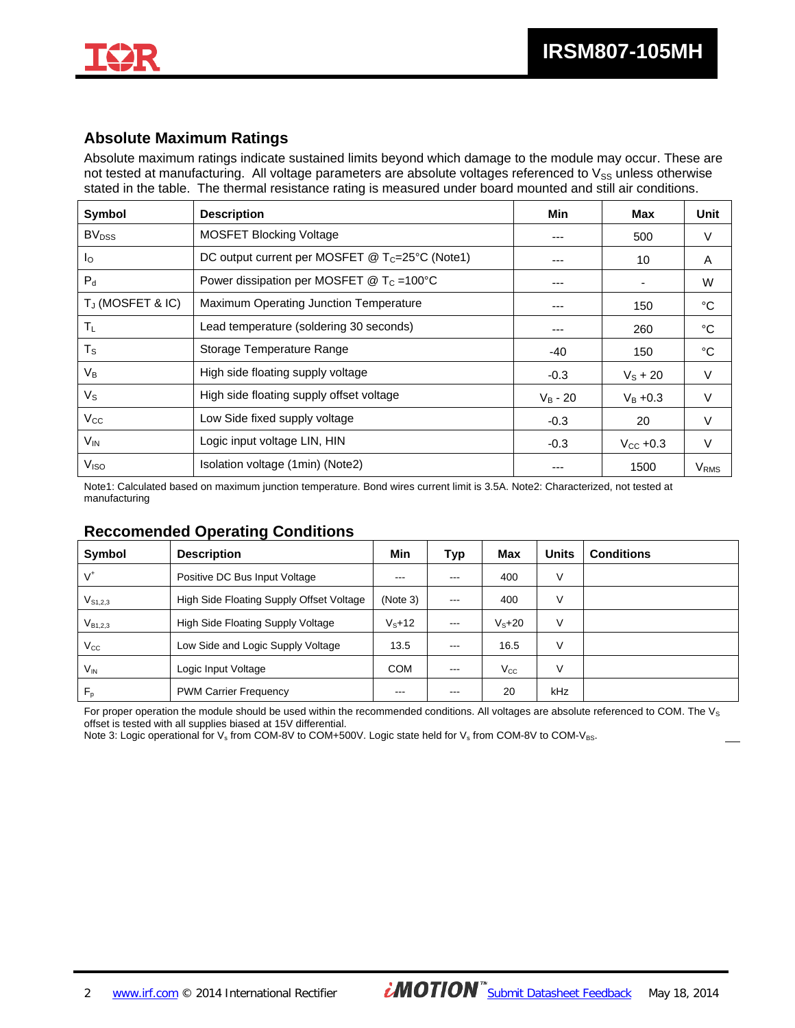

## **Absolute Maximum Ratings**

Absolute maximum ratings indicate sustained limits beyond which damage to the module may occur. These are not tested at manufacturing. All voltage parameters are absolute voltages referenced to  $V_{SS}$  unless otherwise stated in the table. The thermal resistance rating is measured under board mounted and still air conditions.

| <b>Symbol</b>            | <b>Description</b>                                          | Min        | <b>Max</b>           | Unit             |
|--------------------------|-------------------------------------------------------------|------------|----------------------|------------------|
| <b>BV</b> <sub>DSS</sub> | <b>MOSFET Blocking Voltage</b>                              | ---        | 500                  | V                |
| Ιo                       | DC output current per MOSFET @ T <sub>C</sub> =25°C (Note1) | ---        | 10                   | A                |
| $P_d$                    | Power dissipation per MOSFET $@T_c = 100°C$                 | ---        | -                    | W                |
| TJ (MOSFET & IC)         | Maximum Operating Junction Temperature                      | ---        | 150                  | °C               |
| $T_L$                    | Lead temperature (soldering 30 seconds)                     | ---        | 260                  | °C               |
| $T_S$                    | Storage Temperature Range                                   | $-40$      | 150                  | °C               |
| $V_B$                    | High side floating supply voltage                           | $-0.3$     | $V_{\rm S}$ + 20     | $\vee$           |
| $V_{\rm S}$              | High side floating supply offset voltage                    | $V_B - 20$ | $V_{B} + 0.3$        | V                |
| $V_{\rm CC}$             | Low Side fixed supply voltage                               | $-0.3$     | 20                   | $\vee$           |
| $V_{\text{IN}}$          | Logic input voltage LIN, HIN                                | $-0.3$     | $V_{\text{CC}}$ +0.3 | $\vee$           |
| V <sub>ISO</sub>         | Isolation voltage (1min) (Note2)                            | ---        | 1500                 | V <sub>RMS</sub> |

Note1: Calculated based on maximum junction temperature. Bond wires current limit is 3.5A. Note2: Characterized, not tested at manufacturing

### **Reccomended Operating Conditions**

| Symbol           | <b>Description</b>                       | Min             | Typ     | <b>Max</b>      | <b>Units</b> | <b>Conditions</b> |
|------------------|------------------------------------------|-----------------|---------|-----------------|--------------|-------------------|
| V*               | Positive DC Bus Input Voltage            | $-- -$          | $- - -$ | 400             | V            |                   |
| $V_{S1,2,3}$     | High Side Floating Supply Offset Voltage | (Note 3)        | $- - -$ | 400             | V            |                   |
| $V_{B1,2,3}$     | High Side Floating Supply Voltage        | $V_{\rm s}$ +12 | $- - -$ | $V_{\rm s}$ +20 | V            |                   |
| $\rm V_{\rm CC}$ | Low Side and Logic Supply Voltage        | 13.5            | $--$    | 16.5            | V            |                   |
| $V_{IN}$         | Logic Input Voltage                      |                 | $--$    | $V_{\rm CC}$    | ٧            |                   |
| $F_p$            | <b>PWM Carrier Frequency</b>             | ---             | $-- -$  | 20              | kHz          |                   |

For proper operation the module should be used within the recommended conditions. All voltages are absolute referenced to COM. The  $V_s$ offset is tested with all supplies biased at 15V differential.

Note 3: Logic operational for V<sub>s</sub> from COM-8V to COM+500V. Logic state held for V<sub>s</sub> from COM-8V to COM-V<sub>BS</sub>.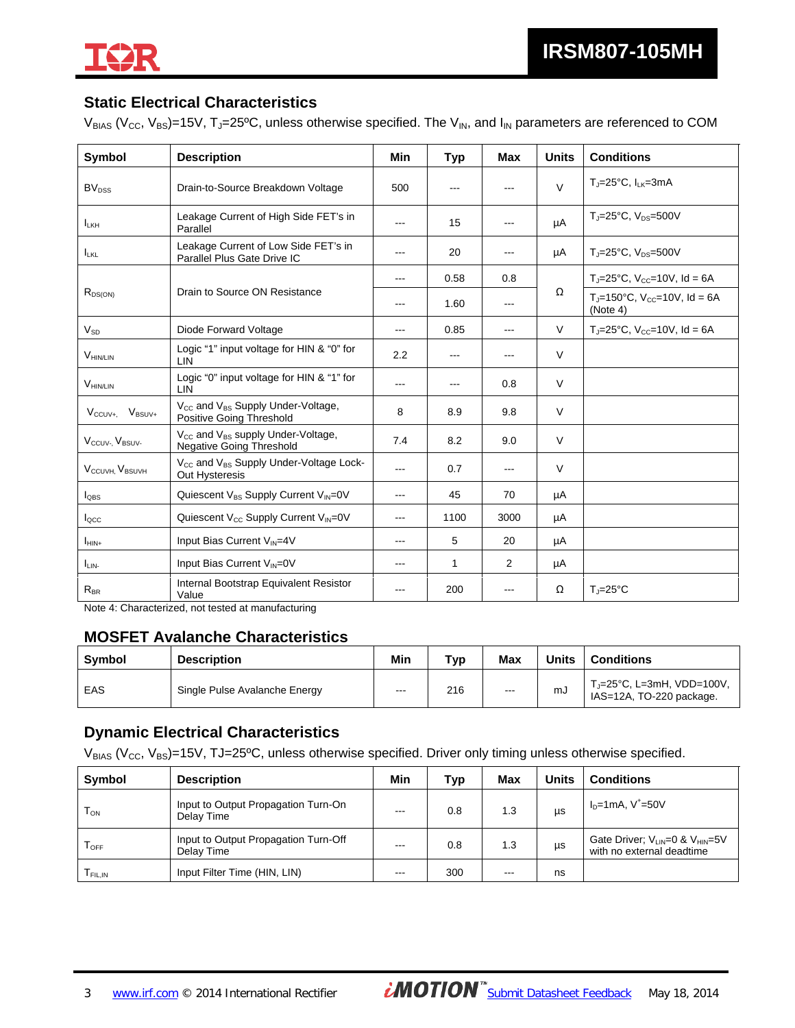

# **Static Electrical Characteristics**

 $V_{BIAS}$  (V<sub>CC</sub>, V<sub>BS</sub>)=15V, T<sub>J</sub>=25<sup>o</sup>C, unless otherwise specified. The V<sub>IN</sub>, and I<sub>IN</sub> parameters are referenced to COM

| Symbol                                  | <b>Description</b>                                                                           | <b>Min</b>        | <b>Typ</b>        | <b>Max</b> | <b>Units</b> | <b>Conditions</b>                                                |
|-----------------------------------------|----------------------------------------------------------------------------------------------|-------------------|-------------------|------------|--------------|------------------------------------------------------------------|
| BV <sub>oss</sub>                       | Drain-to-Source Breakdown Voltage                                                            | 500               | ---               | ---        | $\vee$       | $T_{\rm J}$ =25°C, $I_{\rm LK}$ =3mA                             |
| $I_{LKH}$                               | Leakage Current of High Side FET's in<br>Parallel                                            | $- - -$           | 15                |            | μA           | $T = 25^{\circ}C$ . $V_{\text{DS}} = 500V$                       |
| $I_{LKL}$                               | Leakage Current of Low Side FET's in<br>Parallel Plus Gate Drive IC                          | $--$              | 20                |            | μA           | $T_{\text{J}} = 25^{\circ}C$ , $V_{\text{DS}} = 500V$            |
|                                         |                                                                                              | $\cdots$          | 0.58              | 0.8        |              | $T_{\text{J}} = 25^{\circ}C$ , $V_{\text{CC}} = 10V$ , $Id = 6A$ |
| $R_{DS(ON)}$                            | Drain to Source ON Resistance                                                                | $---$             | 1.60              | $---$      | Ω            | $T_{J}$ =150°C, V <sub>cc</sub> =10V, Id = 6A<br>(Note 4)        |
| $V_{SD}$                                | Diode Forward Voltage                                                                        | $---$             | 0.85              | $---$      | $\vee$       | $T_{J} = 25^{\circ}C$ , $V_{CC} = 10V$ , $Id = 6A$               |
| $V_{\text{HIN/LIN}}$                    | Logic "1" input voltage for HIN & "0" for<br>LIN                                             | 2.2               | $\qquad \qquad -$ | ---        | $\vee$       |                                                                  |
| $V_{\text{HIN/LIN}}$                    | Logic "0" input voltage for HIN & "1" for<br><b>LIN</b>                                      | $---$             | $- - -$           | 0.8        | V            |                                                                  |
| $V_{BSUV+}$<br>$V_{\text{CCUV+}}$       | $V_{\text{cc}}$ and $V_{\text{BS}}$ Supply Under-Voltage,<br><b>Positive Going Threshold</b> | 8                 | 8.9               | 9.8        | $\vee$       |                                                                  |
| V <sub>CCUV</sub> . V <sub>BSUV</sub> . | $V_{\text{CC}}$ and $V_{\text{BS}}$ supply Under-Voltage,<br><b>Negative Going Threshold</b> | 7.4               | 8.2               | 9.0        | $\vee$       |                                                                  |
| V <sub>CCUVH</sub> V <sub>BSUVH</sub>   | V <sub>CC</sub> and V <sub>BS</sub> Supply Under-Voltage Lock-<br>Out Hysteresis             | $- - -$           | 0.7               | $- - -$    | $\vee$       |                                                                  |
| $I_{\text{OBS}}$                        | Quiescent V <sub>BS</sub> Supply Current V <sub>IN</sub> =0V                                 | $---$             | 45                | 70         | μA           |                                                                  |
| I <sub>occ</sub>                        | Quiescent V <sub>cc</sub> Supply Current V <sub>IN</sub> =0V                                 | $---$             | 1100              | 3000       | μA           |                                                                  |
| $I_{\text{HIN+}}$                       | Input Bias Current V <sub>IN</sub> =4V                                                       | $- - -$           | 5                 | 20         | μA           |                                                                  |
| $I_{LIN}$                               | Input Bias Current V <sub>IN</sub> =0V                                                       | $\qquad \qquad -$ | 1                 | 2          | μA           |                                                                  |
| $R_{BR}$                                | Internal Bootstrap Equivalent Resistor<br>Value                                              | ---               | 200               | ---        | Ω            | $T_{J} = 25^{\circ}C$                                            |

Note 4: Characterized, not tested at manufacturing

#### **MOSFET Avalanche Characteristics**

| <b>Symbol</b> | <b>Description</b>            | Min     | T <sub>VD</sub> | Max | Units | <b>Conditions</b>                                                    |
|---------------|-------------------------------|---------|-----------------|-----|-------|----------------------------------------------------------------------|
| EAS           | Single Pulse Avalanche Energy | $- - -$ | 216             | --- | mJ    | $T_{J} = 25^{\circ}C$ , L=3mH, VDD=100V,<br>IAS=12A, TO-220 package. |

### **Dynamic Electrical Characteristics**

 $V_{BIAS}$  (V<sub>CC</sub>, V<sub>BS</sub>)=15V, TJ=25°C, unless otherwise specified. Driver only timing unless otherwise specified.

| <b>Symbol</b>      | <b>Description</b>                                 | Min     | <b>Typ</b> | <b>Max</b> | <b>Units</b> | <b>Conditions</b>                                                    |
|--------------------|----------------------------------------------------|---------|------------|------------|--------------|----------------------------------------------------------------------|
| $T_{ON}$           | Input to Output Propagation Turn-On<br>Delay Time  | $--$    | 0.8        | 1.3        | μs           | $I_D = 1$ mA, V <sup>+</sup> =50V                                    |
| $T_{\textsf{OFF}}$ | Input to Output Propagation Turn-Off<br>Delay Time | $- - -$ | 0.8        | 1.3        | μs           | Gate Driver; $V_{LIN}=0$ & $V_{HIN}=5V$<br>with no external deadtime |
| FIL.IN             | Input Filter Time (HIN, LIN)                       | $--$    | 300        | $- - -$    | ns           |                                                                      |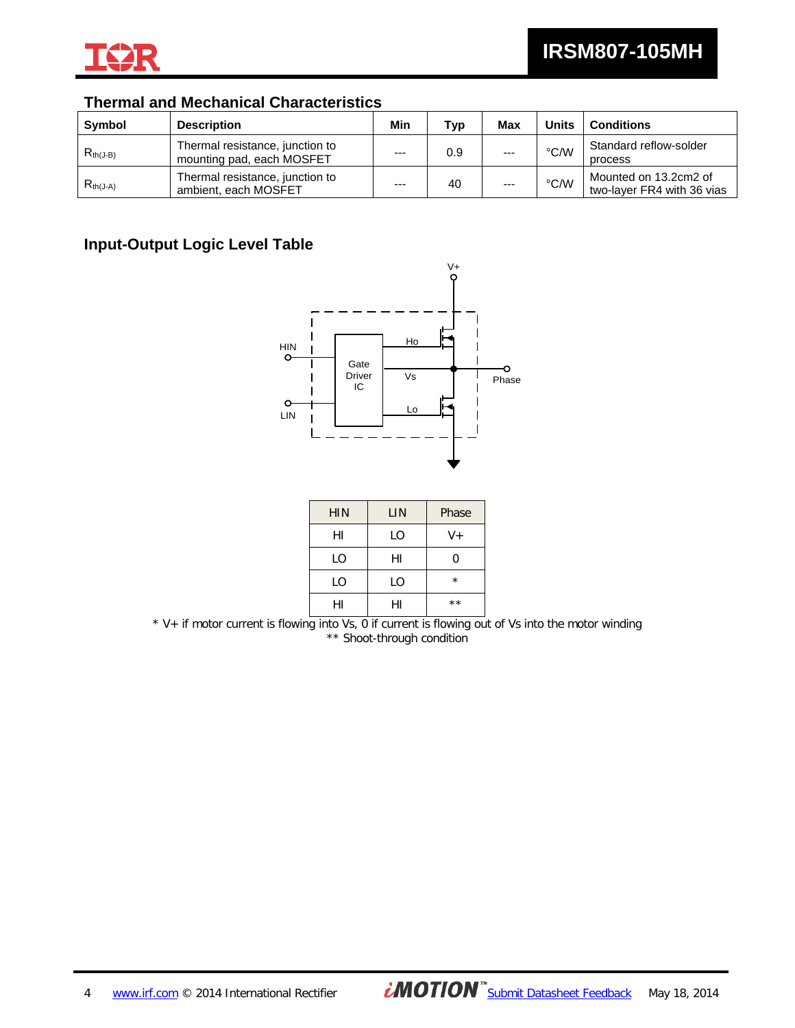

# **Thermal and Mechanical Characteristics**

| <b>Symbol</b> | <b>Description</b>                                           | Min   | Tvp | <b>Max</b> | Units         | <b>Conditions</b>                                   |
|---------------|--------------------------------------------------------------|-------|-----|------------|---------------|-----------------------------------------------------|
| $R_{th(J-B)}$ | Thermal resistance, junction to<br>mounting pad, each MOSFET | $---$ | 0.9 | $---$      | $\degree$ C/W | Standard reflow-solder<br>process                   |
| $R_{th(J-A)}$ | Thermal resistance, junction to<br>ambient, each MOSFET      | $---$ | 40  | $---$      | °C/W          | Mounted on 13.2cm2 of<br>two-layer FR4 with 36 vias |

# **Input-Output Logic Level Table**



| <b>HIN</b> | LIN | Phase   |
|------------|-----|---------|
| HI         | LO  | $V +$   |
| LO         | HI  | ი       |
| LO         | LO  | $\star$ |
| н١         |     | $* *$   |

\* V+ if motor current is flowing into Vs, 0 if current is flowing out of Vs into the motor winding \*\* Shoot-through condition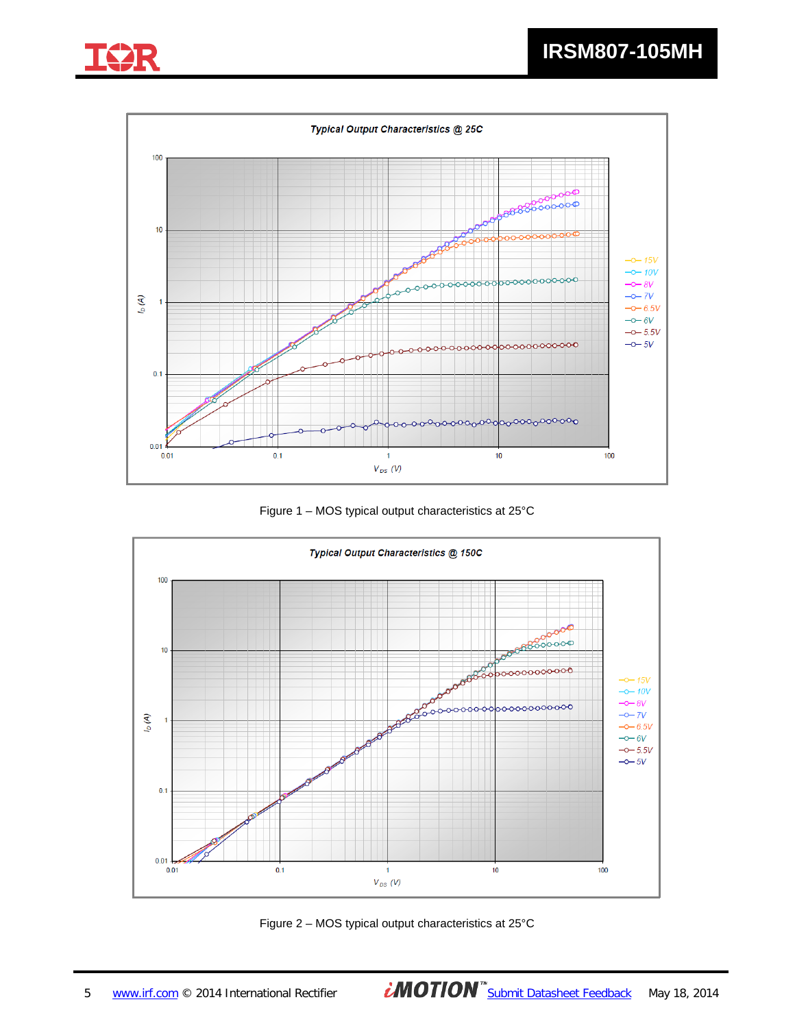





Figure 1 – MOS typical output characteristics at 25°C



Figure 2 – MOS typical output characteristics at 25°C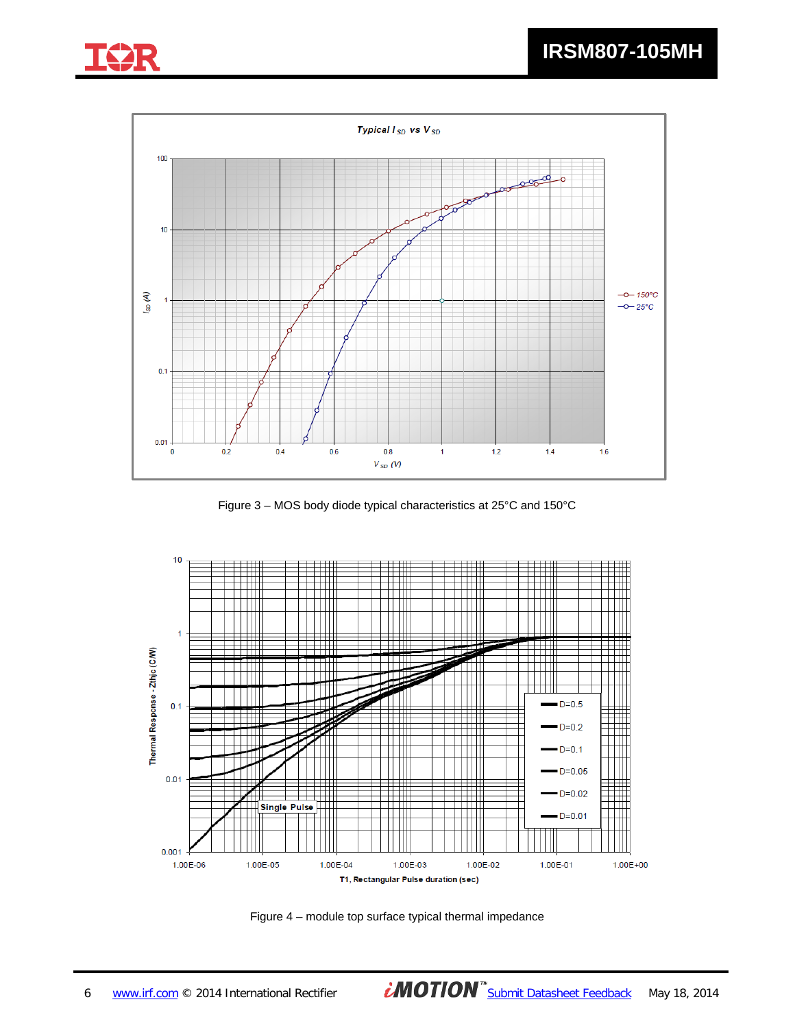



Figure 3 – MOS body diode typical characteristics at 25°C and 150°C



Figure 4 – module top surface typical thermal impedance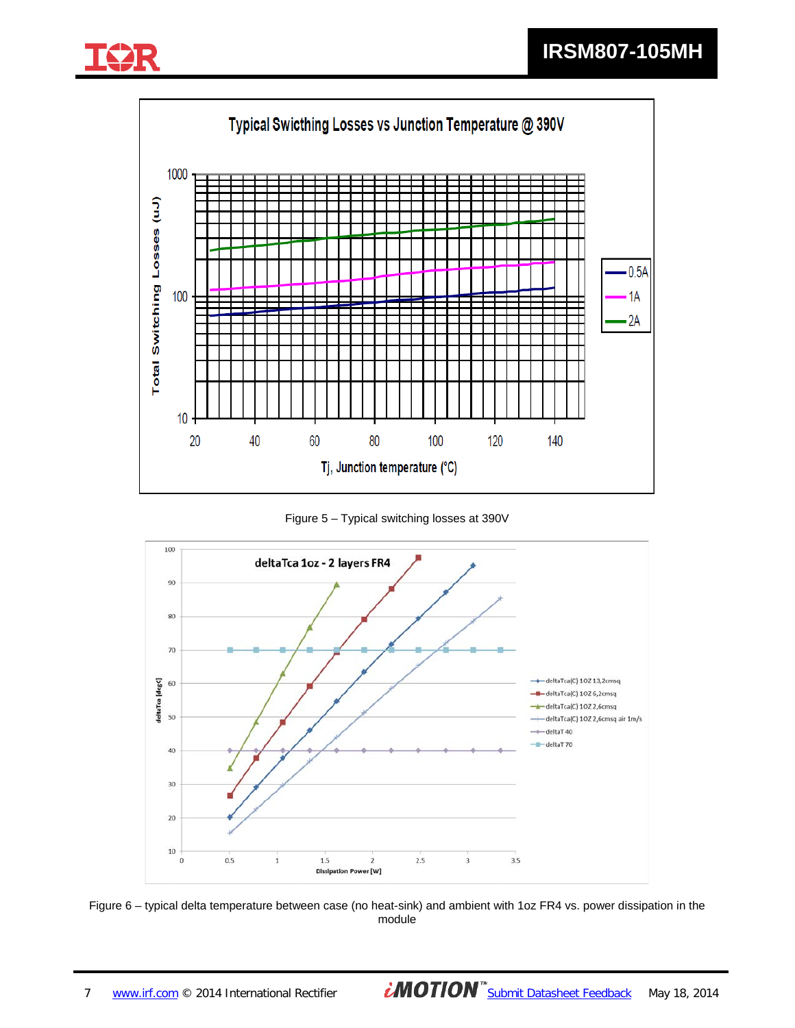![](_page_6_Picture_1.jpeg)

![](_page_6_Figure_2.jpeg)

Figure 5 – Typical switching losses at 390V

![](_page_6_Figure_4.jpeg)

Figure 6 – typical delta temperature between case (no heat-sink) and ambient with 1oz FR4 vs. power dissipation in the module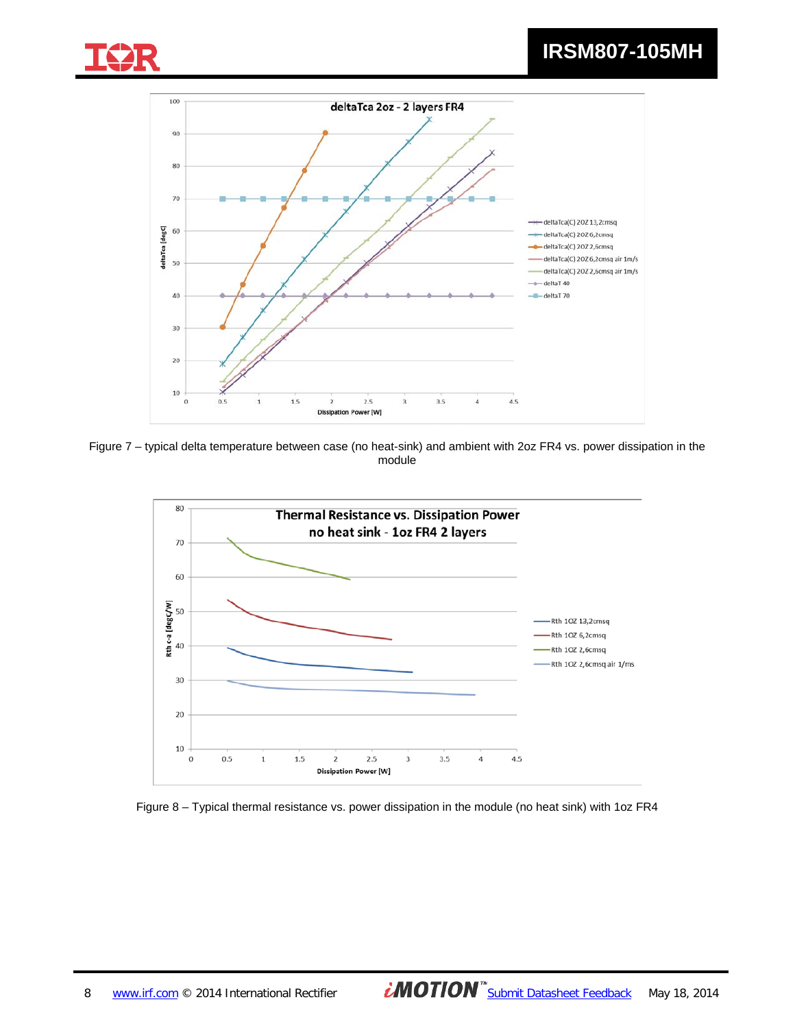![](_page_7_Picture_0.jpeg)

# **IRSM807-105MH**

![](_page_7_Figure_2.jpeg)

Figure 7 – typical delta temperature between case (no heat-sink) and ambient with 2oz FR4 vs. power dissipation in the module

![](_page_7_Figure_4.jpeg)

Figure 8 – Typical thermal resistance vs. power dissipation in the module (no heat sink) with 1oz FR4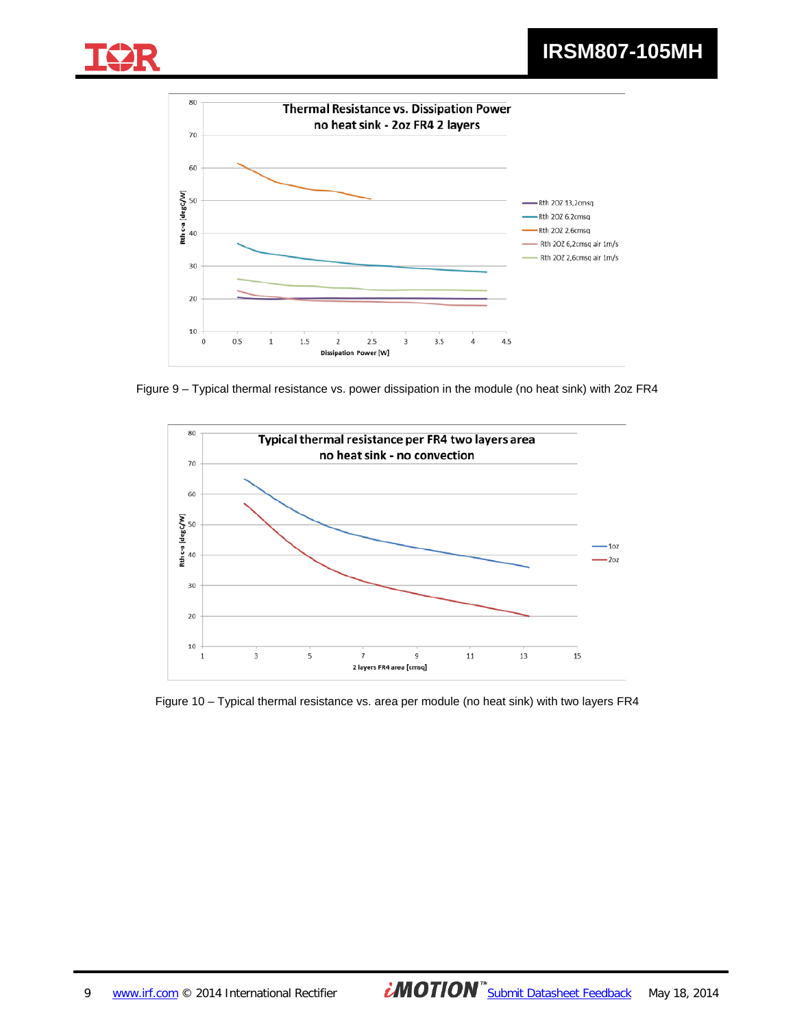![](_page_8_Picture_1.jpeg)

![](_page_8_Figure_2.jpeg)

Figure 9 – Typical thermal resistance vs. power dissipation in the module (no heat sink) with 2oz FR4

![](_page_8_Figure_4.jpeg)

Figure 10 – Typical thermal resistance vs. area per module (no heat sink) with two layers FR4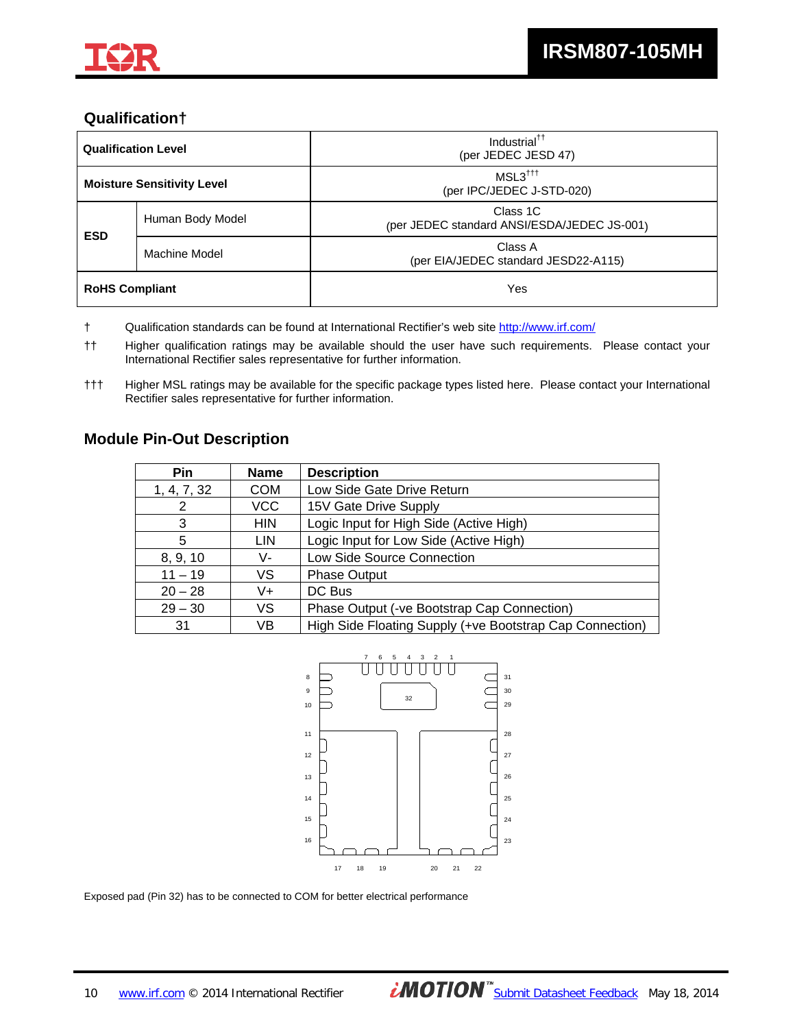![](_page_9_Picture_0.jpeg)

# **Qualification†**

| <b>Qualification Level</b>        |                                                                             | Industrial <sup>††</sup><br>(per JEDEC JESD 47)             |  |
|-----------------------------------|-----------------------------------------------------------------------------|-------------------------------------------------------------|--|
| <b>Moisture Sensitivity Level</b> |                                                                             | $MSL3^{\dagger\dagger\dagger}$<br>(per IPC/JEDEC J-STD-020) |  |
|                                   | Class 1C<br>Human Body Model<br>(per JEDEC standard ANSI/ESDA/JEDEC JS-001) |                                                             |  |
| <b>ESD</b><br>Machine Model       |                                                                             | Class A<br>(per EIA/JEDEC standard JESD22-A115)             |  |
| <b>RoHS Compliant</b>             |                                                                             | Yes                                                         |  |

† Qualification standards can be found at International Rectifier's web site http://www.irf.com/

### **Module Pin-Out Description**

| <b>Pin</b>  | <b>Name</b> | <b>Description</b>                                       |  |
|-------------|-------------|----------------------------------------------------------|--|
| 1, 4, 7, 32 | <b>COM</b>  | Low Side Gate Drive Return                               |  |
| 2           | <b>VCC</b>  | 15V Gate Drive Supply                                    |  |
| 3           | <b>HIN</b>  | Logic Input for High Side (Active High)                  |  |
| 5           | LIN         | Logic Input for Low Side (Active High)                   |  |
| 8, 9, 10    | V-          | Low Side Source Connection                               |  |
| $11 - 19$   | VS          | <b>Phase Output</b>                                      |  |
| $20 - 28$   | V+          | DC Bus                                                   |  |
| $29 - 30$   | VS          | Phase Output (-ve Bootstrap Cap Connection)              |  |
| 31          | VB          | High Side Floating Supply (+ve Bootstrap Cap Connection) |  |

![](_page_9_Figure_9.jpeg)

Exposed pad (Pin 32) has to be connected to COM for better electrical performance

<sup>††</sup> Higher qualification ratings may be available should the user have such requirements. Please contact your International Rectifier sales representative for further information.

<sup>†††</sup> Higher MSL ratings may be available for the specific package types listed here. Please contact your International Rectifier sales representative for further information.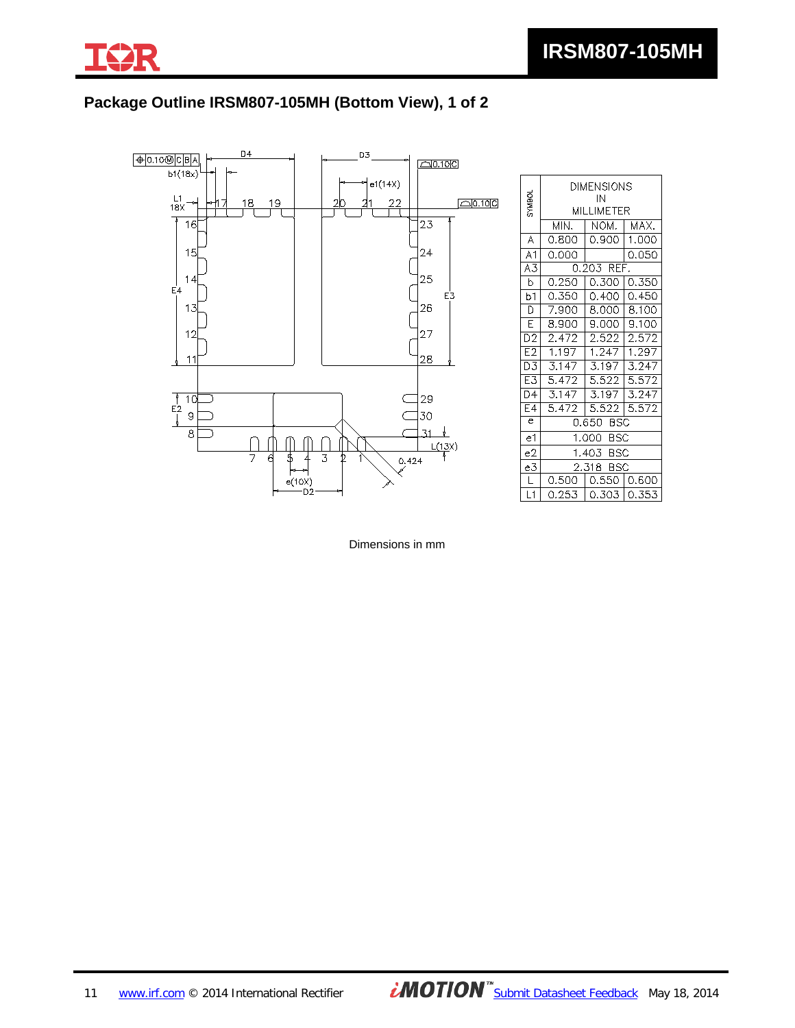![](_page_10_Picture_0.jpeg)

# **Package Outline IRSM807-105MH (Bottom View), 1 of 2**

![](_page_10_Figure_3.jpeg)

| <b>DAMS</b>     | <b>DIMENSIONS</b><br>IN<br>MILLIMETER |             |       |  |  |
|-----------------|---------------------------------------|-------------|-------|--|--|
|                 | MIN.                                  | NOM.        | MAX.  |  |  |
| A               | 0.800                                 | 0.900       | 1.000 |  |  |
| A <sub>1</sub>  | 0.000                                 |             | 0.050 |  |  |
| A3              |                                       | 0.203 REF.  |       |  |  |
| b               | 0.250                                 | 0.300       | 0.350 |  |  |
| b1              | 0.350                                 | 0.400       | 0.450 |  |  |
| D               | 7.900                                 | 8.000       | 8.100 |  |  |
| E               | 8.900                                 | 9.000       | 9.100 |  |  |
| D <sub>2</sub>  | 2.472                                 | 2.522       | 2.572 |  |  |
| E <sub>2</sub>  | 1.197                                 | 1.247       | 1.297 |  |  |
| D3              | 3.147                                 | 3.197       | 3.247 |  |  |
| E3              | 5.472                                 | 5.522       | 5.572 |  |  |
| $\overline{D4}$ | 3.147                                 | 3.197       | 3.247 |  |  |
| E4              | 5.472                                 | 5.522       | 5.572 |  |  |
| $\epsilon$      | 0.650 BSC                             |             |       |  |  |
| e1              | 1.000 BSC                             |             |       |  |  |
| e2              | 1.403 BSC                             |             |       |  |  |
| e3              |                                       | 2.318 BSC   |       |  |  |
| L               | 0.500                                 | 0.550       | 0.600 |  |  |
| L1              | 0.253                                 | 0.303 0.353 |       |  |  |

Dimensions in mm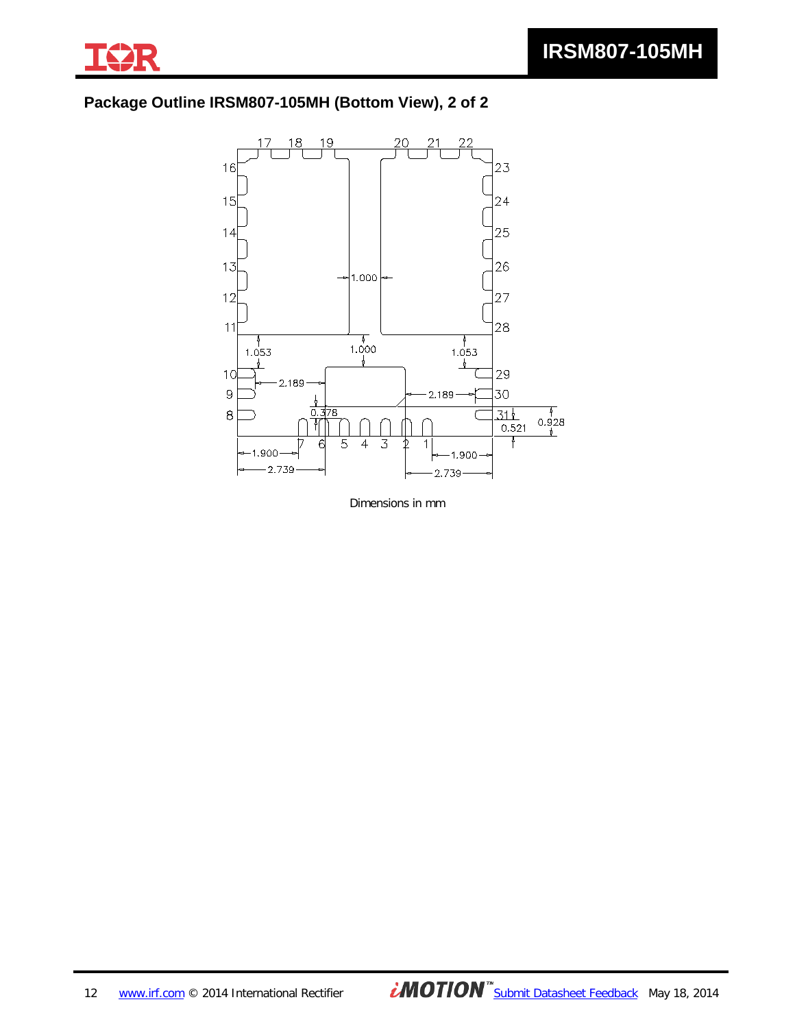![](_page_11_Picture_0.jpeg)

# **Package Outline IRSM807-105MH (Bottom View), 2 of 2**

![](_page_11_Figure_3.jpeg)

Dimensions in mm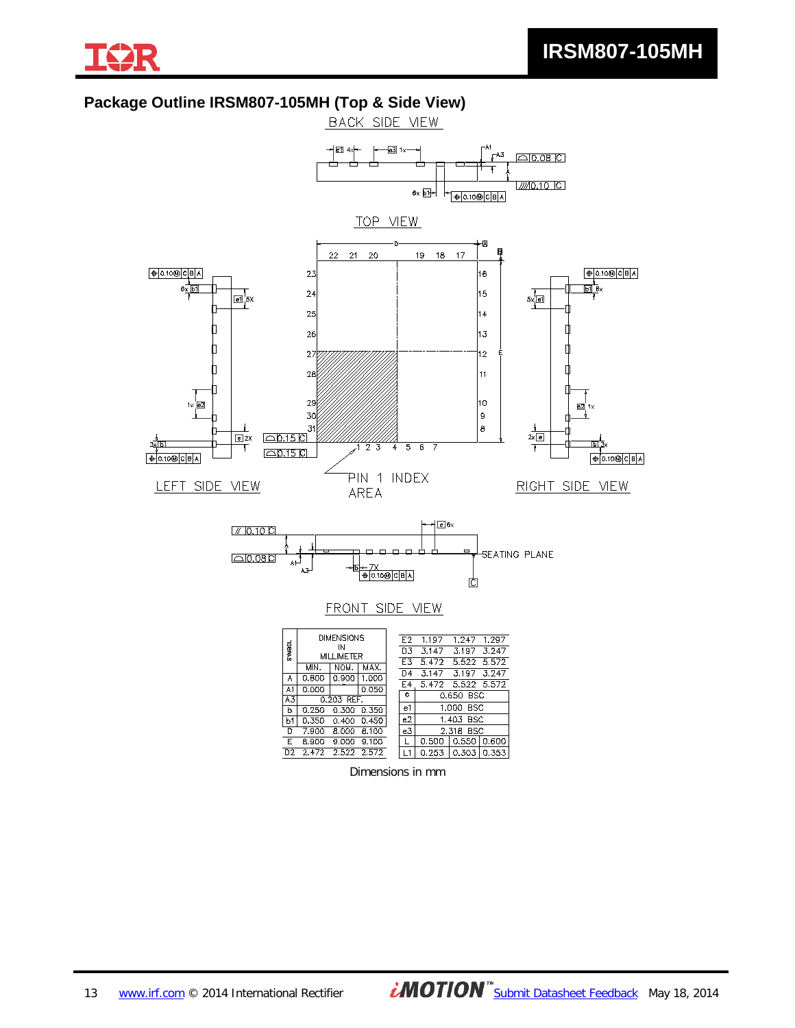![](_page_12_Picture_0.jpeg)

# **Package Outline IRSM807-105MH (Top & Side View)**

![](_page_12_Figure_3.jpeg)

Dimensions in mm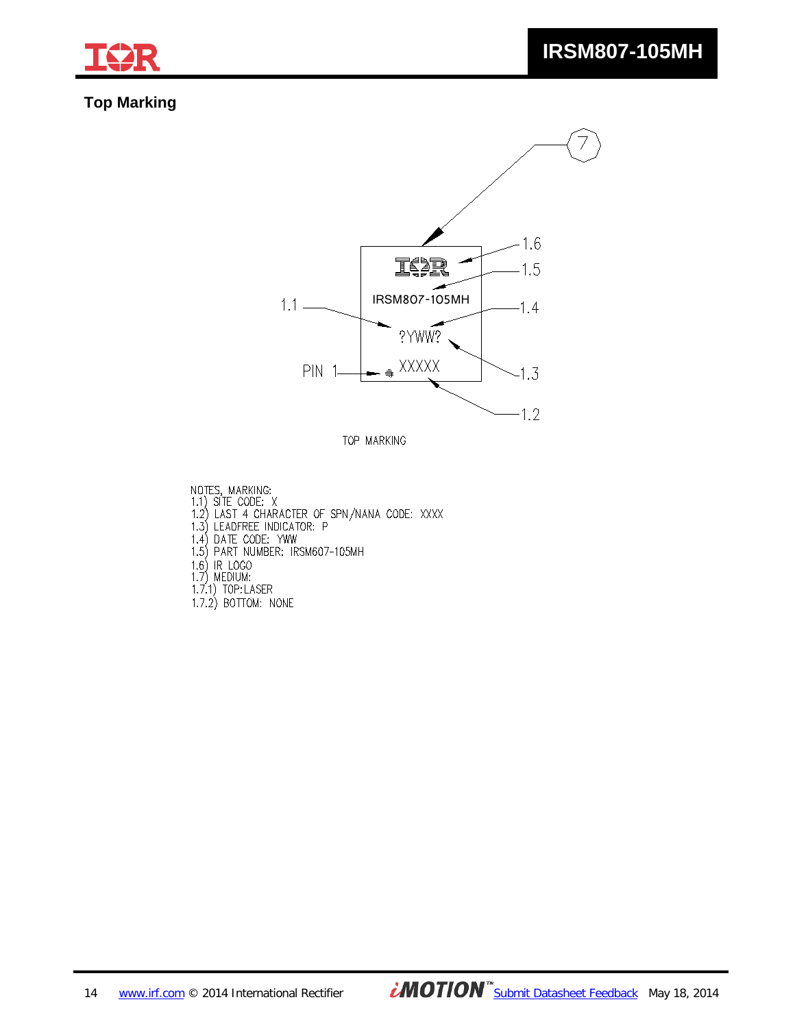![](_page_13_Picture_0.jpeg)

# **Top Marking**

![](_page_13_Figure_3.jpeg)

TOP MARKING

NOTES, MARKING:<br>1.1) SITE CODE: X<br>1.2) LAST 4 CHARACTER OF SPN/NANA CODE: XXXX<br>1.3) LEADFREE INDICATOR: P<br>1.4) DATE CODE: YWW<br>1.5) PART NUMBER: IRSM607-105MH 1.6) IR LOGO<br>1.7) MEDIUM:<br>1.7) MEDIUM:<br>1.7.1) TOP:LASER<br>1.7.2) BOTTOM: NONE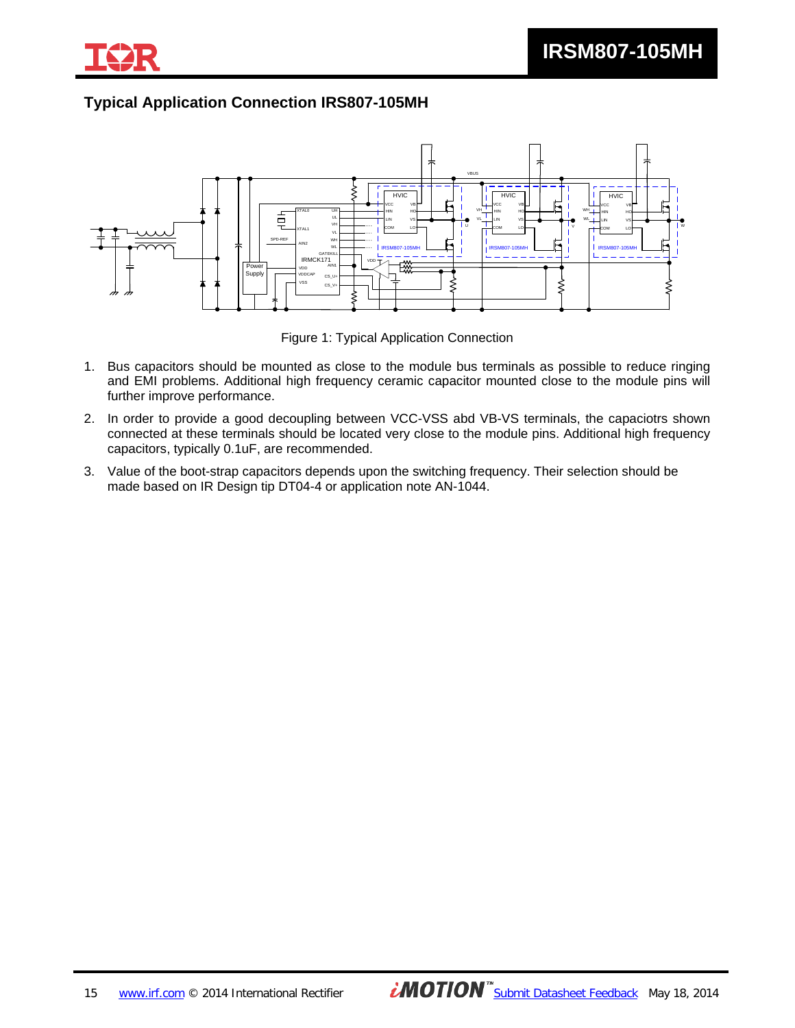![](_page_14_Picture_1.jpeg)

# **Typical Application Connection IRS807-105MH**

![](_page_14_Figure_3.jpeg)

Figure 1: Typical Application Connection

- 1. Bus capacitors should be mounted as close to the module bus terminals as possible to reduce ringing and EMI problems. Additional high frequency ceramic capacitor mounted close to the module pins will further improve performance.
- 2. In order to provide a good decoupling between VCC-VSS abd VB-VS terminals, the capaciotrs shown connected at these terminals should be located very close to the module pins. Additional high frequency capacitors, typically 0.1uF, are recommended.
- 3. Value of the boot-strap capacitors depends upon the switching frequency. Their selection should be made based on IR Design tip DT04-4 or application note AN-1044.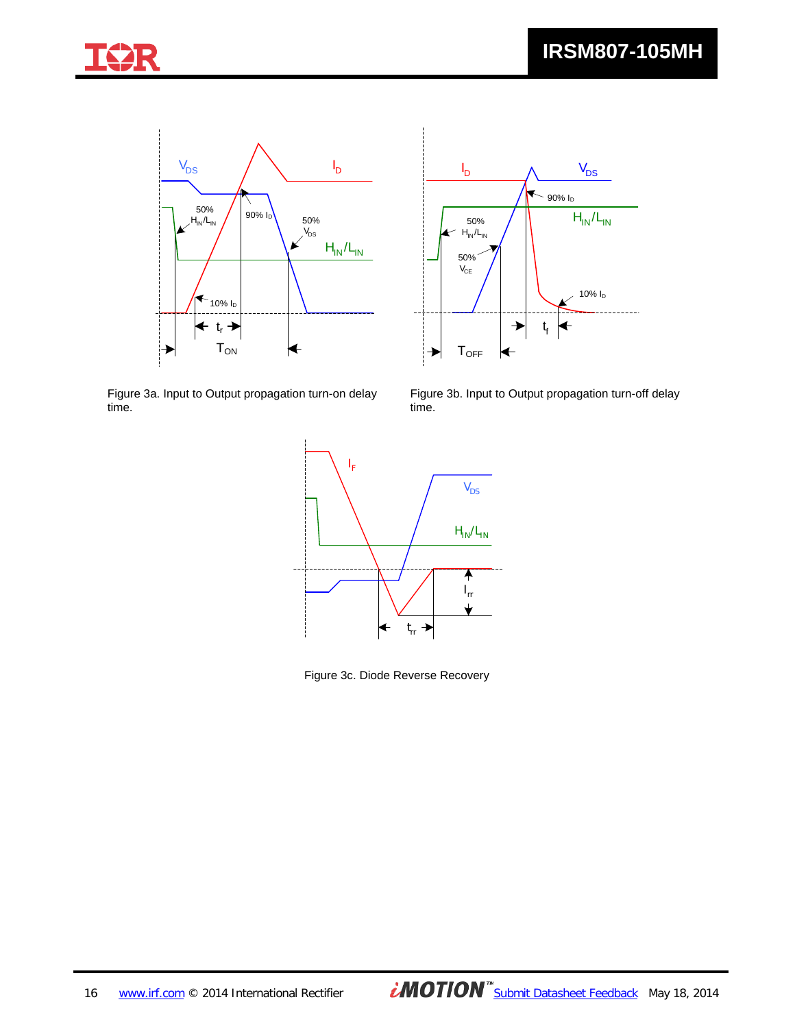![](_page_15_Picture_1.jpeg)

![](_page_15_Figure_2.jpeg)

![](_page_15_Figure_3.jpeg)

Figure 3a. Input to Output propagation turn-on delay time.

Figure 3b. Input to Output propagation turn-off delay time.

![](_page_15_Figure_6.jpeg)

Figure 3c. Diode Reverse Recovery